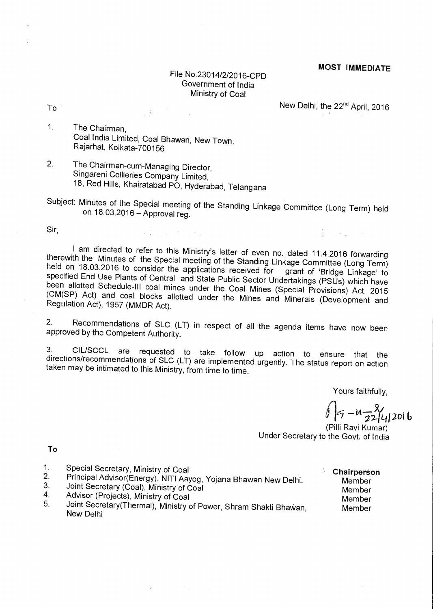## File No.23014/2/2016-CpD Government of India Ministry of Coal

 $\blacksquare$  To  $\blacksquare$  New Delhi, the 22 $\blacksquare$ d April, 2016

新闻的名词

- 1. The Chairman, Coal India Limited, Coal Bhawan, New Town, Rajarhat, Kolkata-700156
- 2. The Chairman-cum-Managing Director, Singareni Collieries Company Limited, 18, Red Hills, Khairatabad PO, Hyderabad, Telangana

 $\label{eq:2.1} \mathcal{L}(\mathcal{L}(\mathcal{L})) = \mathcal{L}(\mathcal{L}(\mathcal{L})) = \mathcal{L}(\mathcal{L}(\mathcal{L})) = \mathcal{L}(\mathcal{L}(\mathcal{L}))$ 

Subject: Minutes of the Special meeting of the Standing Linkage Committee (Long Term) held on 18.03.2016 — Approval reg.

Sir,

I am directed to refer to this Ministry's letter of even no. dated 11.4.2016 forwarding therewith the Minutes of the Special meeting of the Standing Linkage Committee (Long Term) held on 18.03.2016 to consider the applications received for grant of 'Bridge Linkage' to specified End Use Plants of Central and State Public Sector Undertakings (PSUs) which have been allotted Schedule-III coal mines under the Coal Mines (Special Provisions) Act, 2015 (CM(SP) Act) and coal blocks allotted under the Mines and Minerals (Development and Regulation Act), 1957 (MMDR Act).

2. Recommendations of SLC (LT) in respect of all the agenda items have now been approved by the Competent Authority.

3. CIL/SCCL are requested to take follow up action to ensure that the directions/recommendations of SLC (LT) are implemented urgently. The status report on action taken may be intimated to this Ministry, from time to time.

Yours faithfully,

 $u - \frac{8}{22} |q|$ 2016

(Pilli Ravi Kumar) Under Secretary to the Govt. of India

**To** 

- 
- 
- 
- 
- 1. Special Secretary, Ministry of Coal<br>
2. Principal Advisor(Energy), NITI Aayog, Yojana Bhawan New Delhi. Member<br>
3. Joint Secretary (Coal), Ministry of Coal<br>
4. Advisor (Projects), Ministry of Coal<br>
5. Joint Secretary(Th New Delhi